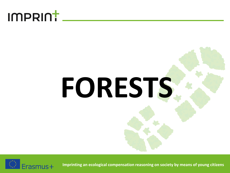### **FORESTS**

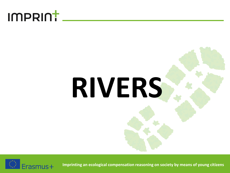### **RIVERS**

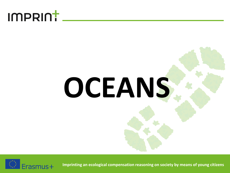# **OCEANS**

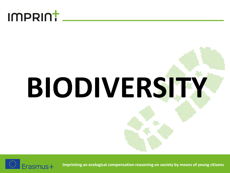

## **BIODIVERSITY**

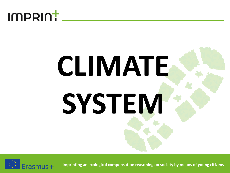

### **CLIMATE SYSTEM**

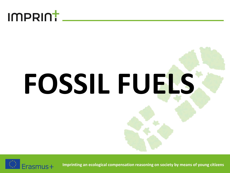

# **FOSSIL FUELS**

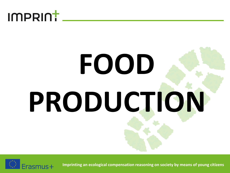

### **FOOD PRODUCTION**

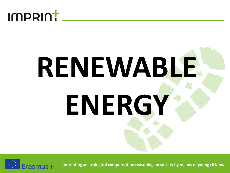

### **RENEWABLE ENERGY**

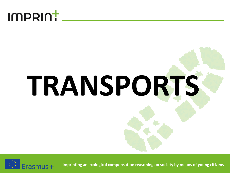

## **TRANSPORTS**

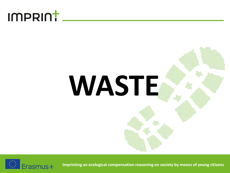## **WASTE**

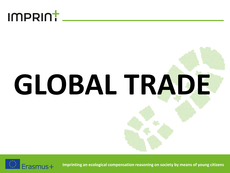

## **GLOBAL TRADE**

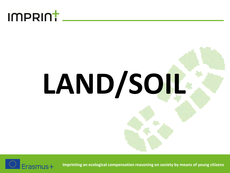#### imprint.

# **LAND/SOIL**

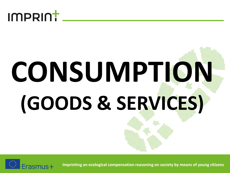

### **CONSUMPTION (GOODS & SERVICES)**